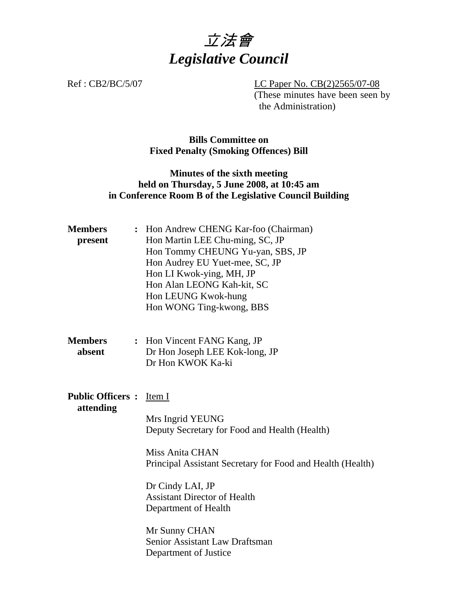

Ref : CB2/BC/5/07 LC Paper No. CB(2)2565/07-08 (These minutes have been seen by the Administration)

## **Bills Committee on Fixed Penalty (Smoking Offences) Bill**

## **Minutes of the sixth meeting held on Thursday, 5 June 2008, at 10:45 am in Conference Room B of the Legislative Council Building**

| <b>Members</b><br>present             | : Hon Andrew CHENG Kar-foo (Chairman)<br>Hon Martin LEE Chu-ming, SC, JP<br>Hon Tommy CHEUNG Yu-yan, SBS, JP<br>Hon Audrey EU Yuet-mee, SC, JP<br>Hon LI Kwok-ying, MH, JP<br>Hon Alan LEONG Kah-kit, SC<br>Hon LEUNG Kwok-hung<br>Hon WONG Ting-kwong, BBS                                                                        |
|---------------------------------------|------------------------------------------------------------------------------------------------------------------------------------------------------------------------------------------------------------------------------------------------------------------------------------------------------------------------------------|
| Members<br>absent                     | : Hon Vincent FANG Kang, JP<br>Dr Hon Joseph LEE Kok-long, JP<br>Dr Hon KWOK Ka-ki                                                                                                                                                                                                                                                 |
| <b>Public Officers :</b><br>attending | Item I<br>Mrs Ingrid YEUNG<br>Deputy Secretary for Food and Health (Health)<br><b>Miss Anita CHAN</b><br>Principal Assistant Secretary for Food and Health (Health)<br>Dr Cindy LAI, JP<br><b>Assistant Director of Health</b><br>Department of Health<br>Mr Sunny CHAN<br>Senior Assistant Law Draftsman<br>Department of Justice |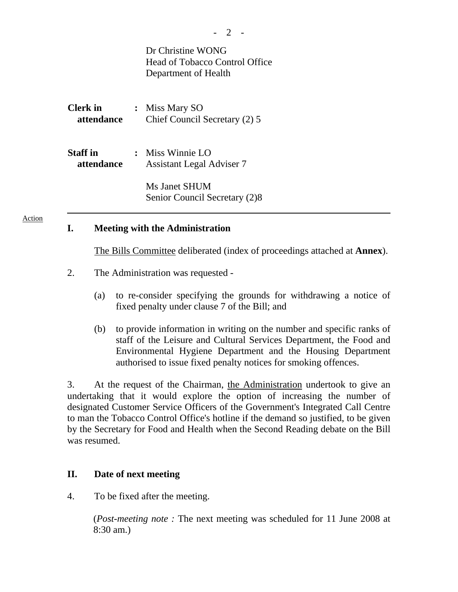|                        |  | Dr Christine WONG<br>Head of Tobacco Control Office<br>Department of Health |
|------------------------|--|-----------------------------------------------------------------------------|
| Clerk in<br>attendance |  | : Miss Mary SO<br>Chief Council Secretary (2) 5                             |
| Staff in<br>attendance |  | $:$ Miss Winnie LO<br><b>Assistant Legal Adviser 7</b>                      |
|                        |  | Ms Janet SHUM<br>Senior Council Secretary (2)8                              |

#### Action

#### **I. Meeting with the Administration**

The Bills Committee deliberated (index of proceedings attached at **Annex**).

- 2. The Administration was requested
	- (a) to re-consider specifying the grounds for withdrawing a notice of fixed penalty under clause 7 of the Bill; and
	- (b) to provide information in writing on the number and specific ranks of staff of the Leisure and Cultural Services Department, the Food and Environmental Hygiene Department and the Housing Department authorised to issue fixed penalty notices for smoking offences.

3. At the request of the Chairman, the Administration undertook to give an undertaking that it would explore the option of increasing the number of designated Customer Service Officers of the Government's Integrated Call Centre to man the Tobacco Control Office's hotline if the demand so justified, to be given by the Secretary for Food and Health when the Second Reading debate on the Bill was resumed.

#### **II. Date of next meeting**

4. To be fixed after the meeting.

 (*Post-meeting note :* The next meeting was scheduled for 11 June 2008 at 8:30 am.)

- 2 -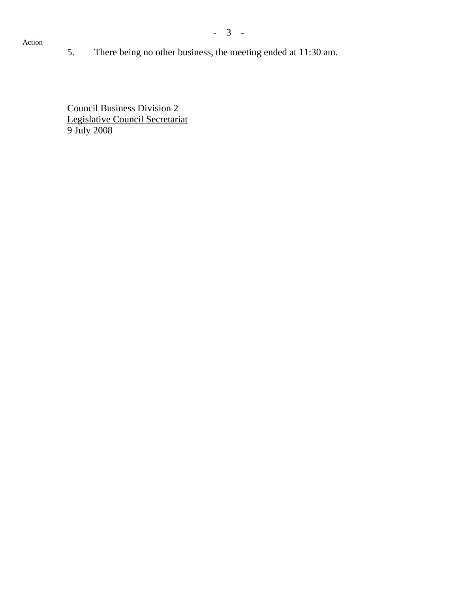### Action

5. There being no other business, the meeting ended at 11:30 am.

Council Business Division 2 Legislative Council Secretariat 9 July 2008